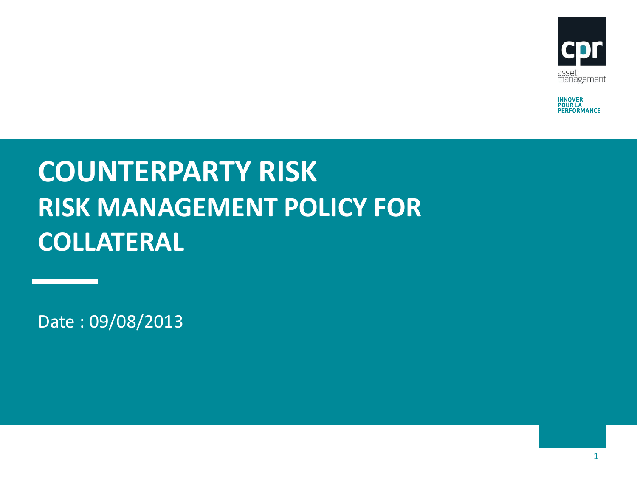

**INNOVER<br>POUR LA<br>PERFORMANCE** 

# **COUNTERPARTY RISK RISK MANAGEMENT POLICY FOR COLLATERAL**

Date : 09/08/2013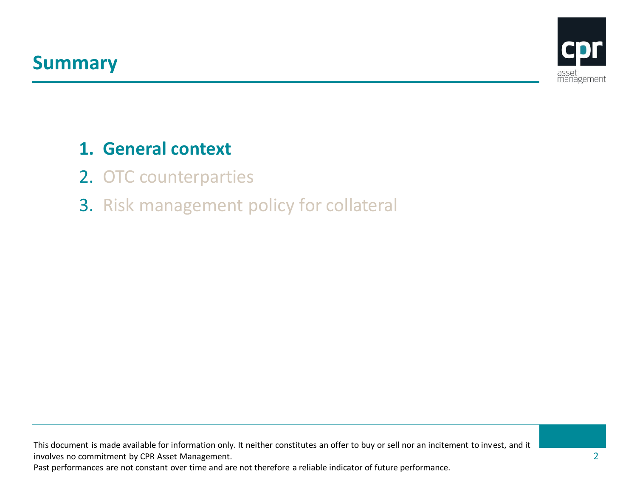

#### **1. General context**

- 2. OTC counterparties
- 3. Risk management policy for collateral

This document is made available for information only. It neither constitutes an offer to buy or sell nor an incitement to invest, and it involves no commitment by CPR Asset Management.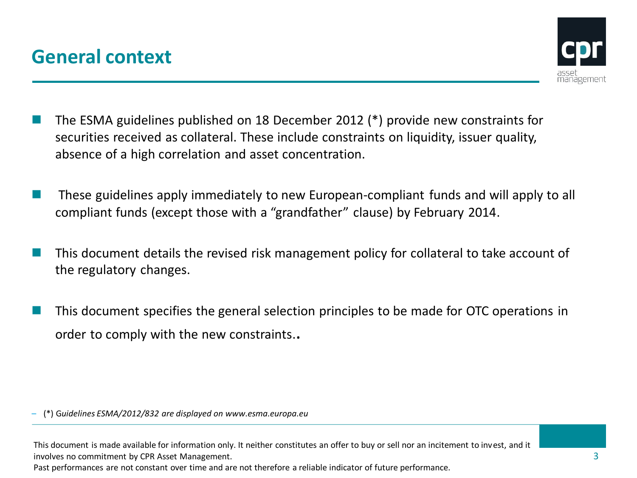

- The ESMA guidelines published on 18 December 2012 (\*) provide new constraints for securities received as collateral. These include constraints on liquidity, issuer quality, absence of a high correlation and asset concentration.
- These guidelines apply immediately to new European-compliant funds and will apply to all compliant funds (except those with a "grandfather" clause) by February 2014.
- This document details the revised risk management policy for collateral to take account of the regulatory changes.
- This document specifies the general selection principles to be made for OTC operations in order to comply with the new constraints..

– (\*) G*uidelines ESMA/2012/832 are displayed on www.esma.europa.eu*

This document is made available for information only. It neither constitutes an offer to buy or sell nor an incitement to invest, and it involves no commitment by CPR Asset Management.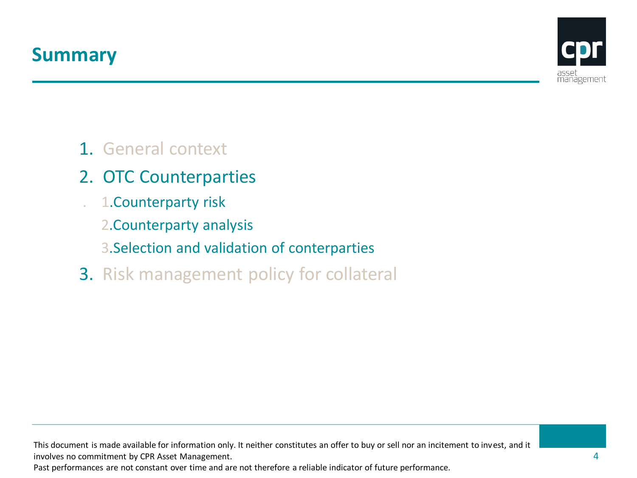

#### 1. General context

- 2. OTC Counterparties
- . 1.Counterparty risk
	- 2.Counterparty analysis
	- 3.Selection and validation of conterparties
- 3. Risk management policy for collateral

This document is made available for information only. It neither constitutes an offer to buy or sell nor an incitement to invest, and it involves no commitment by CPR Asset Management.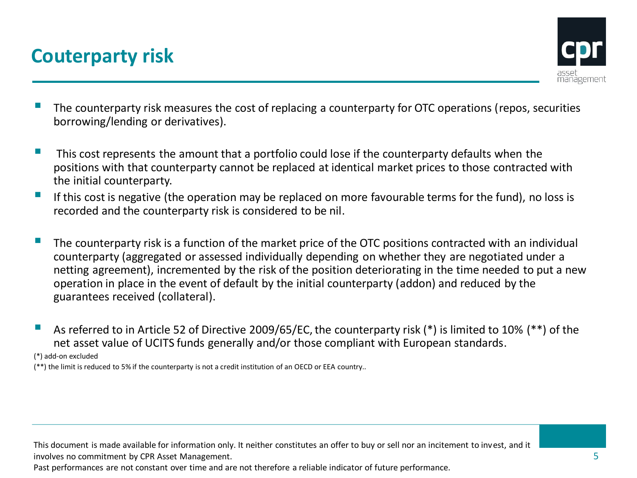# **Couterparty risk**



- The counterparty risk measures the cost of replacing a counterparty for OTC operations (repos, securities borrowing/lending or derivatives).
- $\blacksquare$  This cost represents the amount that a portfolio could lose if the counterparty defaults when the positions with that counterparty cannot be replaced at identical market prices to those contracted with the initial counterparty.
- If this cost is negative (the operation may be replaced on more favourable terms for the fund), no loss is recorded and the counterparty risk is considered to be nil.
- The counterparty risk is a function of the market price of the OTC positions contracted with an individual counterparty (aggregated or assessed individually depending on whether they are negotiated under a netting agreement), incremented by the risk of the position deteriorating in the time needed to put a new operation in place in the event of default by the initial counterparty (addon) and reduced by the guarantees received (collateral).
- As referred to in Article 52 of Directive 2009/65/EC, the counterparty risk (\*) is limited to 10% (\*\*) of the net asset value of UCITS funds generally and/or those compliant with European standards.

(\*) add-on excluded

(\*\*) the limit is reduced to 5% if the counterparty is not a credit institution of an OECD or EEA country..

This document is made available for information only. It neither constitutes an offer to buy or sell nor an incitement to invest, and it involves no commitment by CPR Asset Management.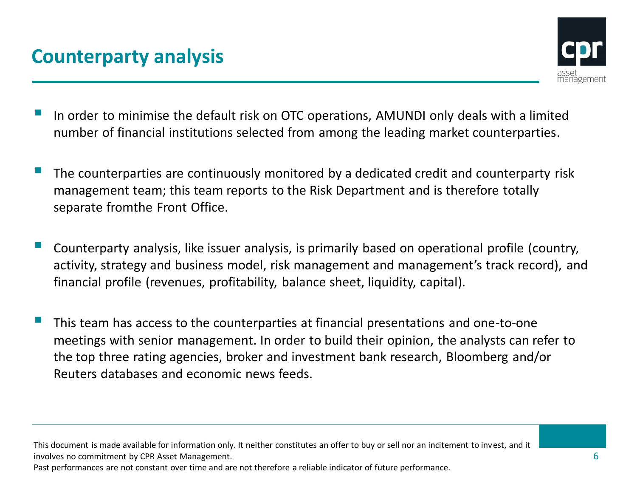

- In order to minimise the default risk on OTC operations, AMUNDI only deals with a limited number of financial institutions selected from among the leading market counterparties.
- The counterparties are continuously monitored by a dedicated credit and counterparty risk management team; this team reports to the Risk Department and is therefore totally separate fromthe Front Office.
- Counterparty analysis, like issuer analysis, is primarily based on operational profile (country, activity, strategy and business model, risk management and management's track record), and financial profile (revenues, profitability, balance sheet, liquidity, capital).
- This team has access to the counterparties at financial presentations and one-to-one meetings with senior management. In order to build their opinion, the analysts can refer to the top three rating agencies, broker and investment bank research, Bloomberg and/or Reuters databases and economic news feeds.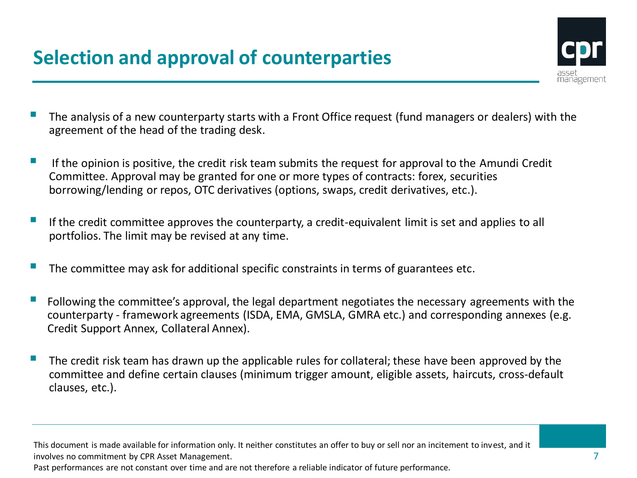

- The analysis of a new counterparty starts with a Front Office request (fund managers or dealers) with the agreement of the head of the trading desk.
- If the opinion is positive, the credit risk team submits the request for approval to the Amundi Credit Committee. Approval may be granted for one or more types of contracts: forex, securities borrowing/lending or repos, OTC derivatives (options, swaps, credit derivatives, etc.).
- If the credit committee approves the counterparty, a credit-equivalent limit is set and applies to all portfolios. The limit may be revised at any time.
- The committee may ask for additional specific constraints in terms of guarantees etc.
- $\blacksquare$  Following the committee's approval, the legal department negotiates the necessary agreements with the counterparty - framework agreements (ISDA, EMA, GMSLA, GMRA etc.) and corresponding annexes (e.g. Credit Support Annex, Collateral Annex).
- The credit risk team has drawn up the applicable rules for collateral; these have been approved by the committee and define certain clauses (minimum trigger amount, eligible assets, haircuts, cross-default clauses, etc.).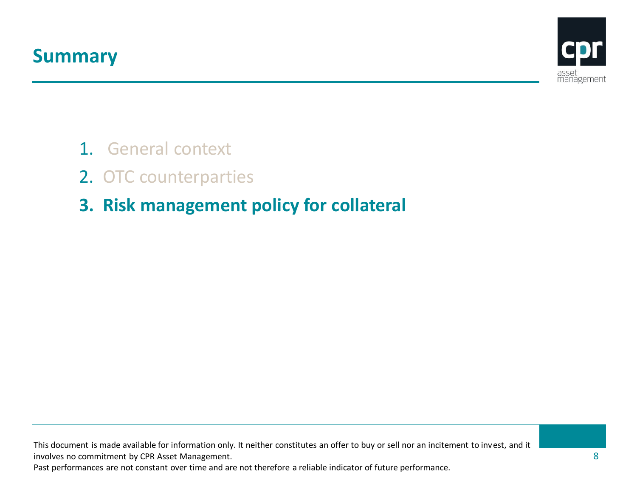

- 1. General context
- 2. OTC counterparties
- **3. Risk management policy for collateral**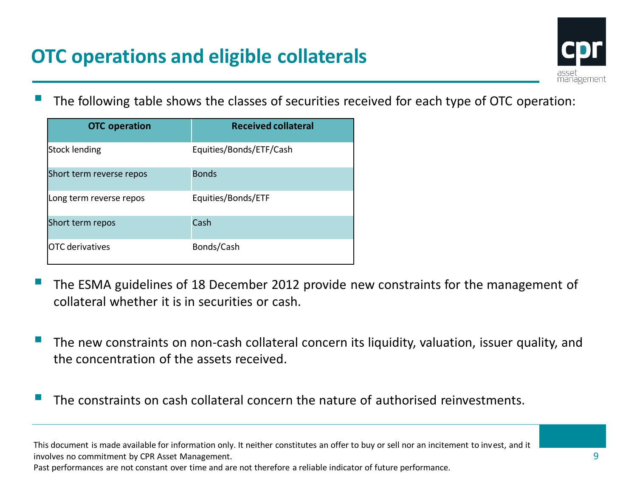## **OTC operations and eligible collaterals**



The following table shows the classes of securities received for each type of OTC operation:

| <b>OTC</b> operation     | <b>Received collateral</b> |
|--------------------------|----------------------------|
| Stock lending            | Equities/Bonds/ETF/Cash    |
| Short term reverse repos | <b>Bonds</b>               |
| Long term reverse repos  | Equities/Bonds/ETF         |
| Short term repos         | Cash                       |
| <b>IOTC</b> derivatives  | Bonds/Cash                 |

- The ESMA guidelines of 18 December 2012 provide new constraints for the management of collateral whether it is in securities or cash.
- The new constraints on non-cash collateral concern its liquidity, valuation, issuer quality, and the concentration of the assets received.
- The constraints on cash collateral concern the nature of authorised reinvestments.

This document is made available for information only. It neither constitutes an offer to buy or sell nor an incitement to invest, and it involves no commitment by CPR Asset Management.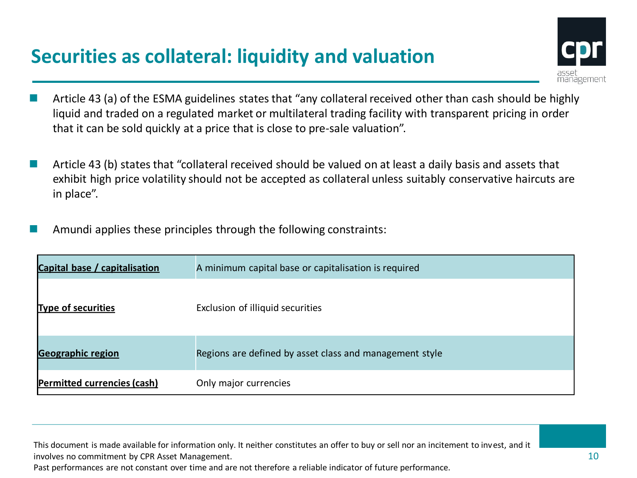# **Securities as collateral: liquidity and valuation**



- Article 43 (a) of the ESMA guidelines states that "any collateral received other than cash should be highly liquid and traded on a regulated market or multilateral trading facility with transparent pricing in order that it can be sold quickly at a price that is close to pre-sale valuation".
- Article 43 (b) states that "collateral received should be valued on at least a daily basis and assets that exhibit high price volatility should not be accepted as collateral unless suitably conservative haircuts are in place".
- Amundi applies these principles through the following constraints:

| Capital base / capitalisation      | A minimum capital base or capitalisation is required    |
|------------------------------------|---------------------------------------------------------|
| <b>Type of securities</b>          | Exclusion of illiquid securities                        |
| <b>Geographic region</b>           | Regions are defined by asset class and management style |
| <b>Permitted currencies (cash)</b> | Only major currencies                                   |

This document is made available for information only. It neither constitutes an offer to buy or sell nor an incitement to invest, and it involves no commitment by CPR Asset Management.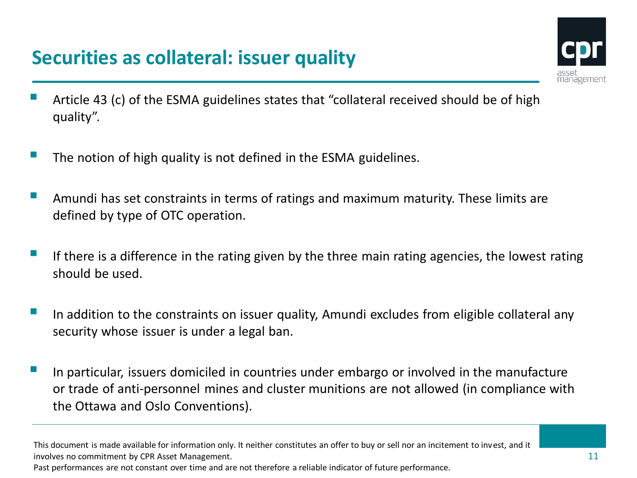## **Securities as collateral: issuer quality**



- Article 43 (c) of the ESMA guidelines states that "collateral received should be of high quality".
- The notion of high quality is not defined in the ESMA guidelines.
- Amundi has set constraints in terms of ratings and maximum maturity. These limits are defined by type of OTC operation.
- If there is a difference in the rating given by the three main rating agencies, the lowest rating should be used.
- In addition to the constraints on issuer quality, Amundi excludes from eligible collateral any security whose issuer is under a legal ban.
- In particular, issuers domiciled in countries under embargo or involved in the manufacture or trade of anti-personnel mines and cluster munitions are not allowed (in compliance with the Ottawa and Oslo Conventions).

This document is made available for information only. It neither constitutes an offer to buy or sell nor an incitement to invest, and it involves no commitment by CPR Asset Management.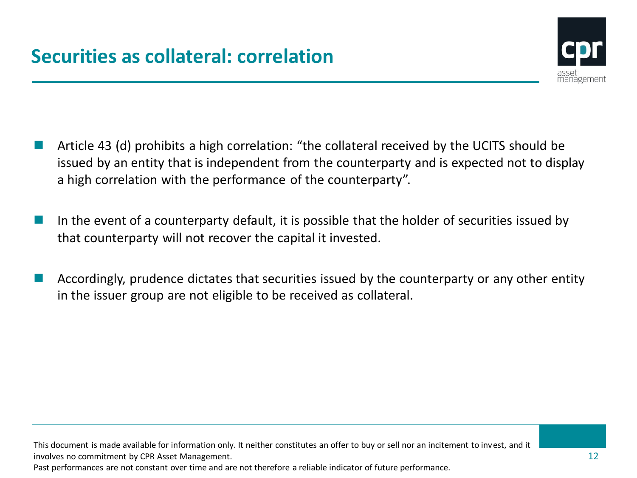

- Article 43 (d) prohibits a high correlation: "the collateral received by the UCITS should be issued by an entity that is independent from the counterparty and is expected not to display a high correlation with the performance of the counterparty".
- In the event of a counterparty default, it is possible that the holder of securities issued by that counterparty will not recover the capital it invested.
- Accordingly, prudence dictates that securities issued by the counterparty or any other entity in the issuer group are not eligible to be received as collateral.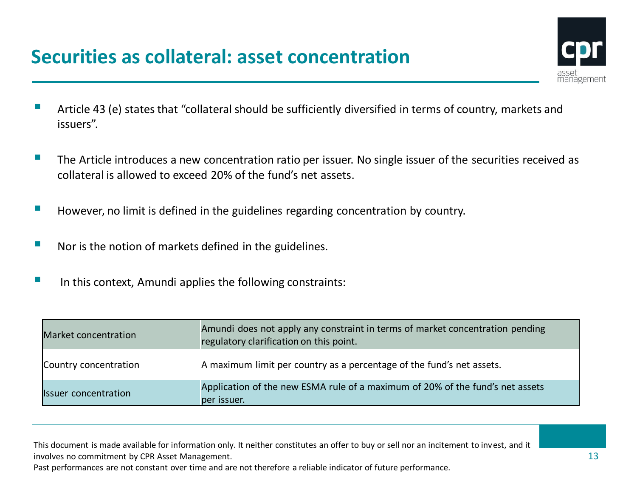#### **Securities as collateral: asset concentration**



- Article 43 (e) states that "collateral should be sufficiently diversified in terms of country, markets and issuers".
- $\blacksquare$  The Article introduces a new concentration ratio per issuer. No single issuer of the securities received as collateral is allowed to exceed 20% of the fund's net assets.
- **However, no limit is defined in the guidelines regarding concentration by country.**
- Nor is the notion of markets defined in the guidelines.
- In this context, Amundi applies the following constraints:

| Market concentration        | Amundi does not apply any constraint in terms of market concentration pending<br>regulatory clarification on this point. |
|-----------------------------|--------------------------------------------------------------------------------------------------------------------------|
| Country concentration       | A maximum limit per country as a percentage of the fund's net assets.                                                    |
| <b>Issuer concentration</b> | Application of the new ESMA rule of a maximum of 20% of the fund's net assets<br>per issuer.                             |

This document is made available for information only. It neither constitutes an offer to buy or sell nor an incitement to invest, and it involves no commitment by CPR Asset Management.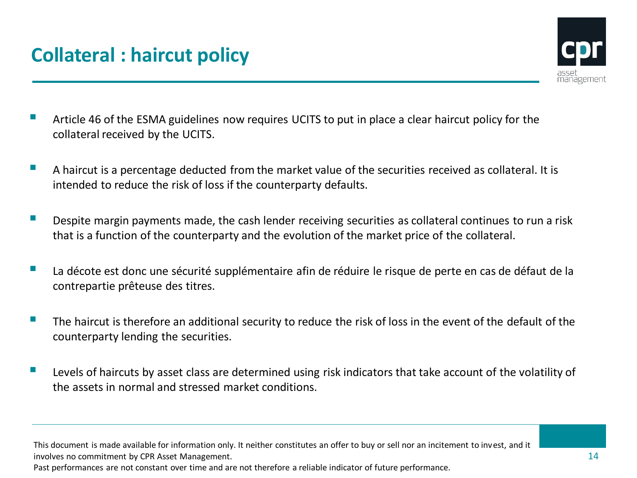

- Article 46 of the ESMA guidelines now requires UCITS to put in place a clear haircut policy for the collateral received by the UCITS.
- A haircut is a percentage deducted from the market value of the securities received as collateral. It is intended to reduce the risk of loss if the counterparty defaults.
- Despite margin payments made, the cash lender receiving securities as collateral continues to run a risk that is a function of the counterparty and the evolution of the market price of the collateral.
- La décote est donc une sécurité supplémentaire afin de réduire le risque de perte en cas de défaut de la contrepartie prêteuse des titres.
- The haircut is therefore an additional security to reduce the risk of loss in the event of the default of the counterparty lending the securities.
- Levels of haircuts by asset class are determined using risk indicators that take account of the volatility of the assets in normal and stressed market conditions.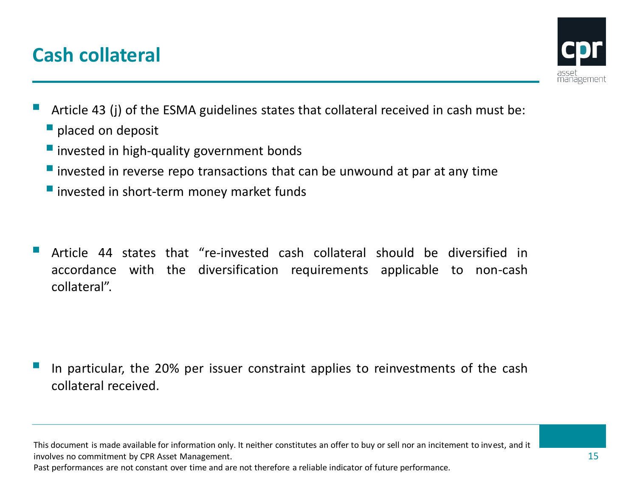## **Cash collateral**



- Article <sup>43</sup> (j) of the ESMA guidelines states that collateral received in cash must be: **placed on deposit** 
	- **I** invested in high-quality government bonds
	- $\blacksquare$  invested in reverse repo transactions that can be unwound at par at any time
	- **I** invested in short-term money market funds
- Article <sup>44</sup> states that "re-invested cash collateral should be diversified in accordance with the diversification requirements applicable to non-cash collateral".

 In particular, the 20% per issuer constraint applies to reinvestments of the cash collateral received.

This document is made available for information only. It neither constitutes an offer to buy or sell nor an incitement to invest, and it involves no commitment by CPR Asset Management.